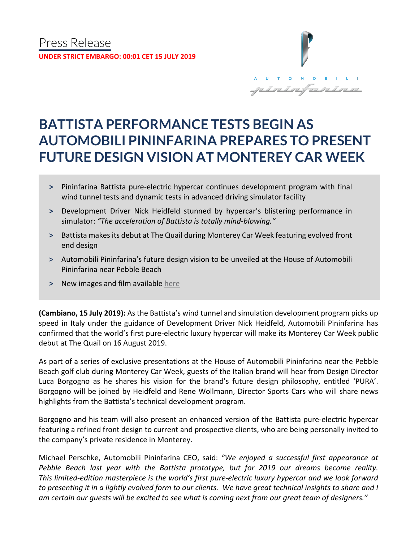

# **BATTISTA PERFORMANCE TESTS BEGIN AS AUTOMOBILI PININFARINA PREPARES TO PRESENT FUTURE DESIGN VISION AT MONTEREY CAR WEEK**

- **˃** Pininfarina Battista pure-electric hypercar continues development program with final wind tunnel tests and dynamic tests in advanced driving simulator facility
- **˃** Development Driver Nick Heidfeld stunned by hypercar's blistering performance in simulator: *"The acceleration of Battista is totally mind-blowing."*
- **˃** Battista makes its debut at The Quail during Monterey Car Week featuring evolved front end design
- **˃** Automobili Pininfarina's future design vision to be unveiled at the House of Automobili Pininfarina near Pebble Beach
- **˃** New images and film available [here](https://bit.ly/2JmRQ2N)

**(Cambiano, 15 July 2019):** As the Battista's wind tunnel and simulation development program picks up speed in Italy under the guidance of Development Driver Nick Heidfeld, Automobili Pininfarina has confirmed that the world's first pure-electric luxury hypercar will make its Monterey Car Week public debut at The Quail on 16 August 2019.

As part of a series of exclusive presentations at the House of Automobili Pininfarina near the Pebble Beach golf club during Monterey Car Week, guests of the Italian brand will hear from Design Director Luca Borgogno as he shares his vision for the brand's future design philosophy, entitled 'PURA'. Borgogno will be joined by Heidfeld and Rene Wollmann, Director Sports Cars who will share news highlights from the Battista's technical development program.

Borgogno and his team will also present an enhanced version of the Battista pure-electric hypercar featuring a refined front design to current and prospective clients, who are being personally invited to the company's private residence in Monterey.

Michael Perschke, Automobili Pininfarina CEO, said: *"We enjoyed a successful first appearance at Pebble Beach last year with the Battista prototype, but for 2019 our dreams become reality. This limited-edition masterpiece is the world's first pure-electric luxury hypercar and we look forward to presenting it in a lightly evolved form to our clients. We have great technical insights to share and I am certain our guests will be excited to see what is coming next from our great team of designers."*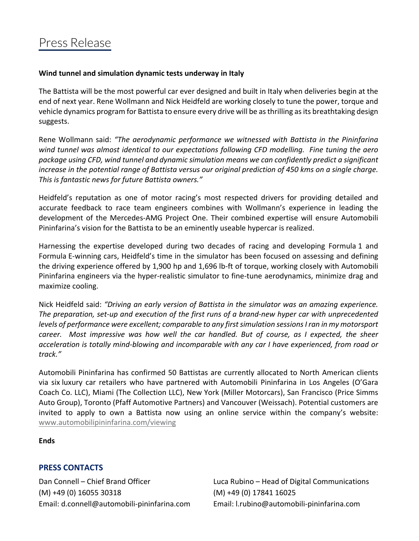## **Wind tunnel and simulation dynamic tests underway in Italy**

The Battista will be the most powerful car ever designed and built in Italy when deliveries begin at the end of next year. Rene Wollmann and Nick Heidfeld are working closely to tune the power, torque and vehicle dynamics program for Battista to ensure every drive will be as thrilling as its breathtaking design suggests.

Rene Wollmann said: *"The aerodynamic performance we witnessed with Battista in the Pininfarina wind tunnel was almost identical to our expectations following CFD modelling. Fine tuning the aero package using CFD, wind tunnel and dynamic simulation means we can confidently predict a significant increase in the potential range of Battista versus our original prediction of 450 kms on a single charge. This is fantastic news for future Battista owners."*

Heidfeld's reputation as one of motor racing's most respected drivers for providing detailed and accurate feedback to race team engineers combines with Wollmann's experience in leading the development of the Mercedes-AMG Project One. Their combined expertise will ensure Automobili Pininfarina's vision for the Battista to be an eminently useable hypercar is realized.

Harnessing the expertise developed during two decades of racing and developing Formula 1 and Formula E-winning cars, Heidfeld's time in the simulator has been focused on assessing and defining the driving experience offered by 1,900 hp and 1,696 lb-ft of torque, working closely with Automobili Pininfarina engineers via the hyper-realistic simulator to fine-tune aerodynamics, minimize drag and maximize cooling.

Nick Heidfeld said: *"Driving an early version of Battista in the simulator was an amazing experience. The preparation, set-up and execution of the first runs of a brand-new hyper car with unprecedented levels of performance were excellent; comparable to any first simulation sessions I ran in my motorsport career. Most impressive was how well the car handled. But of course, as I expected, the sheer acceleration is totally mind-blowing and incomparable with any car I have experienced, from road or track."*

Automobili Pininfarina has confirmed 50 Battistas are currently allocated to North American clients via six luxury car retailers who have partnered with Automobili Pininfarina in Los Angeles (O'Gara Coach Co. LLC), Miami (The Collection LLC), New York (Miller Motorcars), San Francisco (Price Simms Auto Group), Toronto (Pfaff Automotive Partners) and Vancouver (Weissach). Potential customers are invited to apply to own a Battista now using an online service within the company's website: [www.automobilipininfarina.com/viewing](https://www.automobilipininfarina.com/viewing)

**Ends**

# **PRESS CONTACTS**

(M) +49 (0) 16055 30318 (M) +49 (0) 17841 16025 Email: d.connell@automobili-pininfarina.com Email: [l.rubino@automobili-pininfarina.com](mailto:l.rubino@automobili-pininfarina.com)

Dan Connell – Chief Brand Officer Luca Rubino – Head of Digital Communications